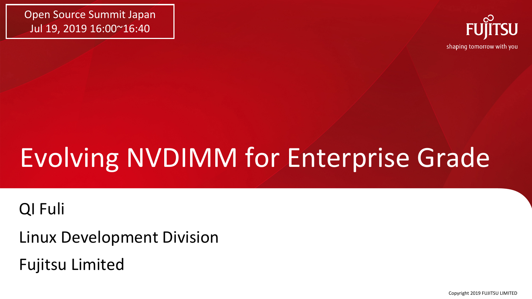Open Source Summit Japan Jul 19, 2019 16:00~16:40



# Evolving NVDIMM for Enterprise Grade

#### QI Fuli

Linux Development Division

Fujitsu Limited

Copyright 2019 FUJITSU LIMITED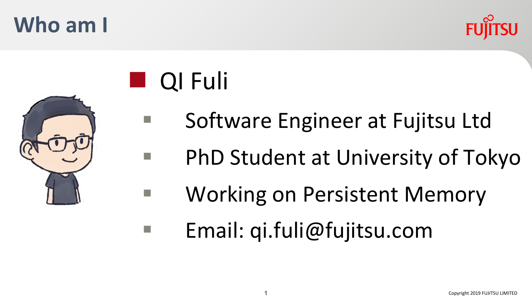#### 1 Copyright 2019 FUJITSU LIMITED

**Who am I**



- § Software Engineer at Fujitsu Ltd
- § PhD Student at University of Tokyo
- Working on Persistent Memory
	- § Email: qi.fuli@fujitsu.com



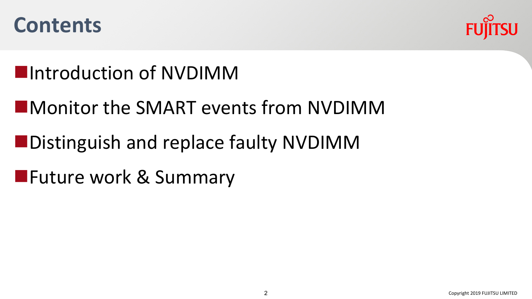



#### **Number 11** Introduction of NVDIMM

- **NATURE INDIA ASSESSMENT CONTROLLER IN THE MONOMETER CONTROLLER IN THE MONOMETER CONTROLLER IN A THE MONOMETER CONTROLLER IN A THE MONOMETER CONTROLLER IN A THE MONOMETER CONTROLLER IN A THE MONOMETER CONTROLLER IN A THE M**
- **nDistinguish and replace faulty NVDIMM**
- **NATURE WORK & Summary**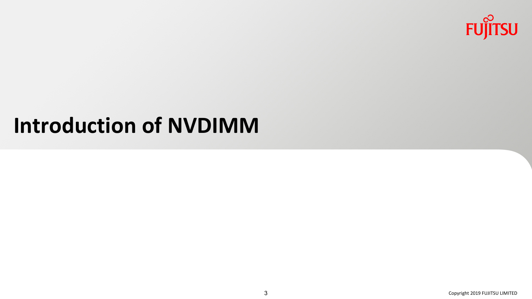

## **Introduction of NVDIMM**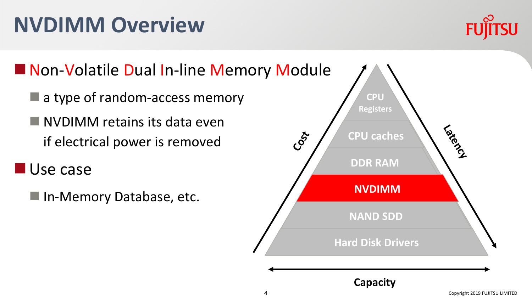#### Copyright 2019 FUJITSU LIMITED

# **NVDIMM Overview**

■ Non-Volatile Dual In-line Memory Module

- $\blacksquare$  a type of random-access memory
- $\blacksquare$  NVDIMM retains its data even if electrical power is removed
- **Nuse case** 
	- In-Memory Database, etc.



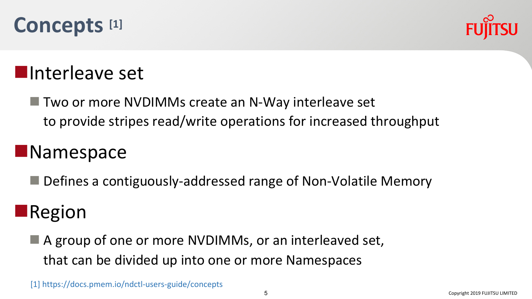



#### **Number** Interleave set

 $\blacksquare$  Two or more NVDIMMs create an N-Way interleave set to provide stripes read/write operations for increased throughput

#### **Namespace**

 $\blacksquare$  Defines a contiguously-addressed range of Non-Volatile Memory

#### $\blacksquare$ Region

 $\blacksquare$  A group of one or more NVDIMMs, or an interleaved set, that can be divided up into one or more Namespaces

[1] https://docs.pmem.io/ndctl-users-guide/concepts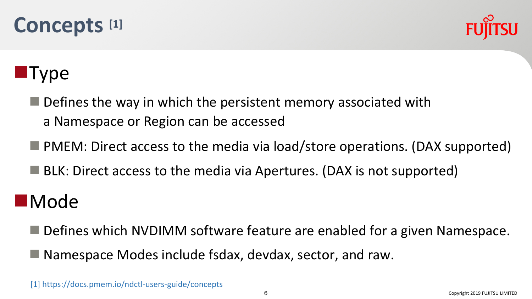



#### **Type**

- $\blacksquare$  Defines the way in which the persistent memory associated with a Namespace or Region can be accessed
- $\blacksquare$  PMEM: Direct access to the media via load/store operations. (DAX supported)
- $\blacksquare$  BLK: Direct access to the media via Apertures. (DAX is not supported)

#### **n**Mode

- Defines which NVDIMM software feature are enabled for a given Namespace.
- $\blacksquare$  Namespace Modes include fsdax, devdax, sector, and raw.

[1] https://docs.pmem.io/ndctl-users-guide/concepts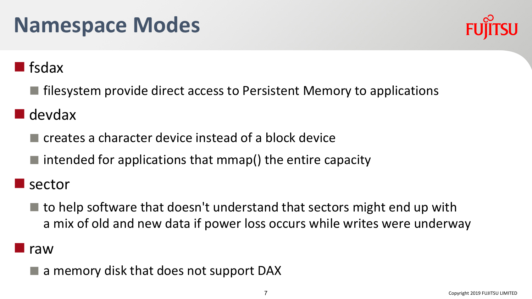# **Namespace Modes**



#### **n** fsdax

 $\blacksquare$  filesystem provide direct access to Persistent Memory to applications

#### $\blacksquare$  devdax

- $\blacksquare$  creates a character device instead of a block device
- $\blacksquare$  intended for applications that mmap() the entire capacity

#### sector

 $\blacksquare$  to help software that doesn't understand that sectors might end up with a mix of old and new data if power loss occurs while writes were underway

#### **I** raw

a memory disk that does not support DAX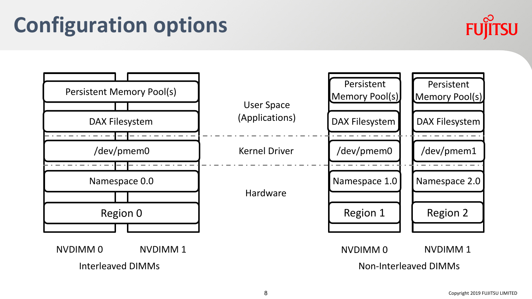# **Configuration options**



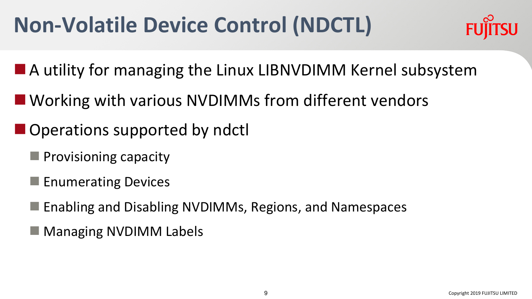# **Non-Volatile Device Control (NDCTL)**



- $\blacksquare$  A utility for managing the Linux LIBNVDIMM Kernel subsystem
- Working with various NVDIMMs from different vendors
- $\blacksquare$  Operations supported by ndctl
	- $\blacksquare$  Provisioning capacity
	- $\blacksquare$  Enumerating Devices
	- $\blacksquare$  Enabling and Disabling NVDIMMs, Regions, and Namespaces
	- Managing NVDIMM Labels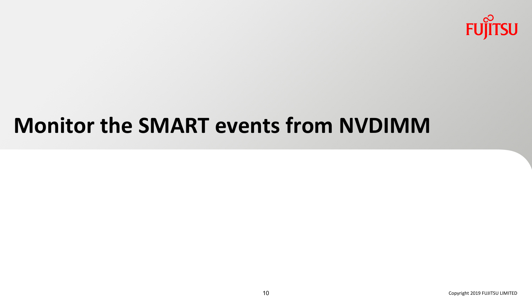

## **Monitor the SMART events from NVDIMM**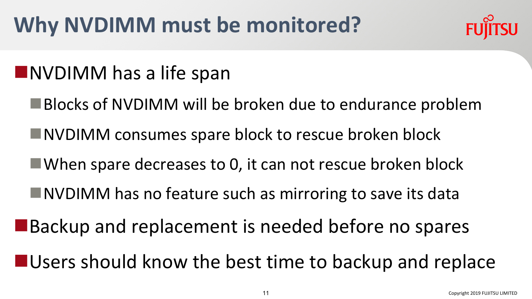# **Why NVDIMM must be monitored?**

#### **NNVDIMM** has a life span

- ■Blocks of NVDIMM will be broken due to endurance problem
- **NVDIMM** consumes spare block to rescue broken block
- $\blacksquare$  When spare decreases to 0, it can not rescue broken block
- ■NVDIMM has no feature such as mirroring to save its data
- **Backup and replacement is needed before no spares**
- $\blacksquare$  Users should know the best time to backup and replace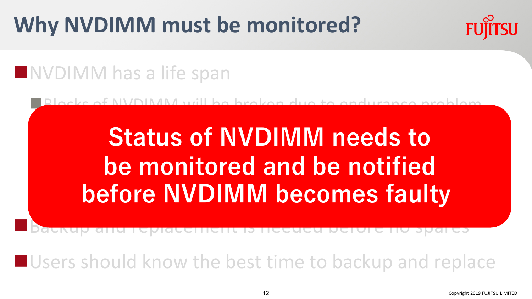# **Why NVDIMM must be monitored?**

# **FUILTSU**

#### **NIVOIMM** has a life span

nBlocks of NVDIMM will be broken due to endurance problem

# **NVDIMM meeds to** Status of NVDIMM needs to **be monitored and be notified before NVDIMM becomes faulty**

nBackup and replacement is needed before no spares

 $\blacksquare$  Users should know the best time to backup and replace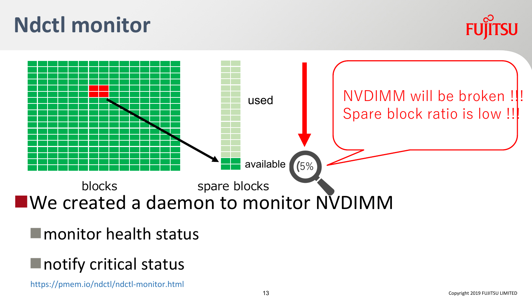# **Ndctl monitor**





 $\blacksquare$  monitor health status

#### $\blacksquare$  notify critical status

https://pmem.io/ndctl/ndctl-monitor.html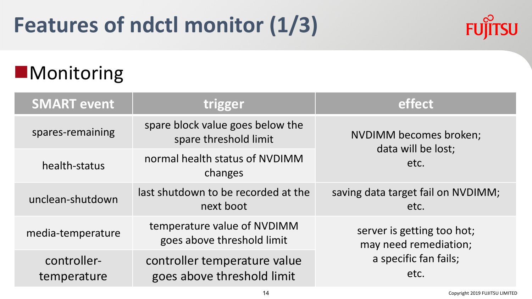

#### **Monitoring**

| <b>SMART event</b>         | trigger                                                    | effect                                                                               |
|----------------------------|------------------------------------------------------------|--------------------------------------------------------------------------------------|
| spares-remaining           | spare block value goes below the<br>spare threshold limit  | NVDIMM becomes broken;<br>data will be lost;<br>etc.                                 |
| health-status              | normal health status of NVDIMM<br>changes                  |                                                                                      |
| unclean-shutdown           | last shutdown to be recorded at the<br>next boot           | saving data target fail on NVDIMM;<br>etc.                                           |
| media-temperature          | temperature value of NVDIMM<br>goes above threshold limit  | server is getting too hot;<br>may need remediation;<br>a specific fan fails;<br>etc. |
| controller-<br>temperature | controller temperature value<br>goes above threshold limit |                                                                                      |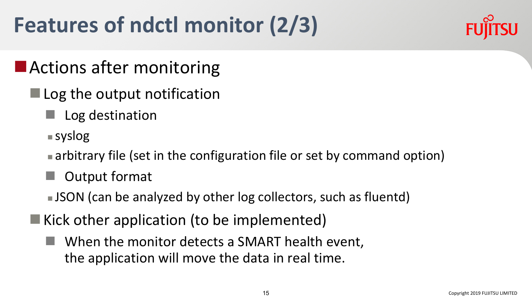# **Features of ndctl monitor (2/3)**



#### $\blacksquare$  Actions after monitoring

- $\blacksquare$  Log the output notification
	- Log destination
	- $\blacksquare$  syslog
	- $\blacksquare$  arbitrary file (set in the configuration file or set by command option)
	- **Output format**
	- **JSON** (can be analyzed by other log collectors, such as fluentd)
- $\blacksquare$  Kick other application (to be implemented)
	- n When the monitor detects a SMART health event, the application will move the data in real time.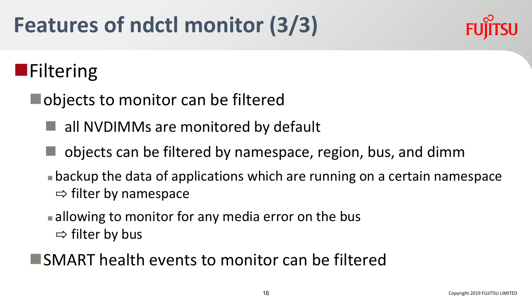# **Features of ndctl monitor (3/3)**



## **n**Filtering

- $\blacksquare$  objects to monitor can be filtered
	- all NVDIMMs are monitored by default
	- n objects can be filtered by namespace, region, bus, and dimm
	- **Exagger backup the data of applications which are running on a certain namespace**  $\Rightarrow$  filter by namespace
	- $\blacksquare$  allowing to monitor for any media error on the bus  $\Rightarrow$  filter by bus
- $\blacksquare$ SMART health events to monitor can be filtered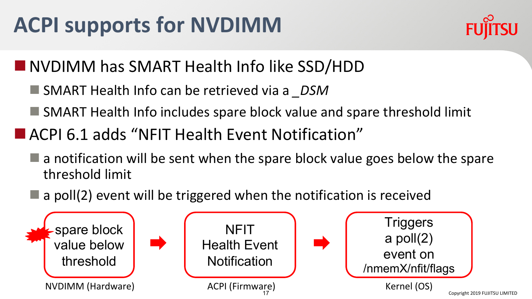# **ACPI supports for NVDIMM**



**NVDIMM has SMART Health Info like SSD/HDD** 

- SMART Health Info can be retrieved via a *DSM*
- $\blacksquare$  SMART Health Info includes spare block value and spare threshold limit
- ACPI 6.1 adds "NFIT Health Event Notification"
	- $\blacksquare$  a notification will be sent when the spare block value goes below the spare threshold limit
	- $\blacksquare$  a poll(2) event will be triggered when the notification is received

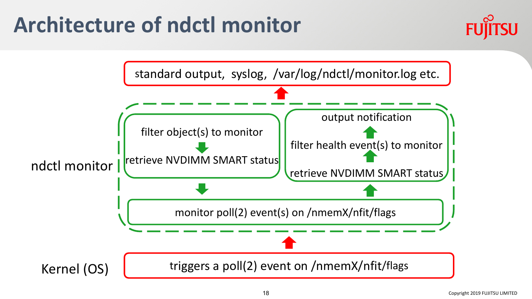# **Architecture of ndctl monitor**

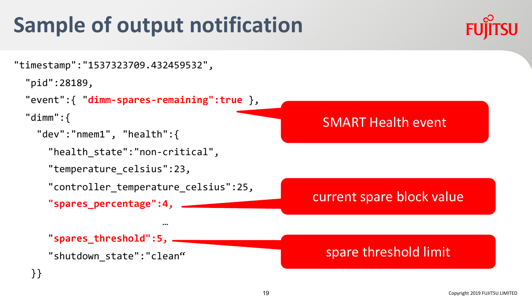# **Sample of output notification**





```
"pid":28189,
```

```
"event":{ "dimm-spares-remaining":true },
```

```
"dimm":{
```

```
"dev":"nmem1", "health":{
```
"health\_state":"non-critical",

```
"temperature_celsius":23,
```

```
"controller_temperature_celsius":25,
```
…

```
"spares_percentage":4,
```
"**spares\_threshold":5,**

"shutdown\_state":"clean"



current spare block value

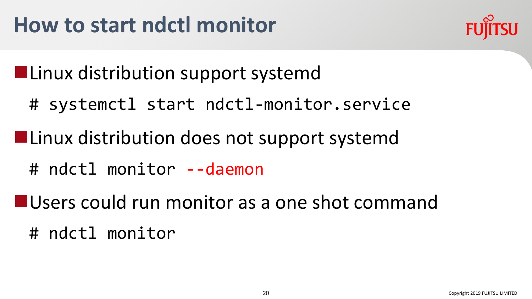

**Linux distribution support systemd** 

- # systemctl start ndctl-monitor.service
- **Linux distribution does not support systemd** 
	- # ndctl monitor --daemon
- **NUSERS could run monitor as a one shot command** 
	- # ndctl monitor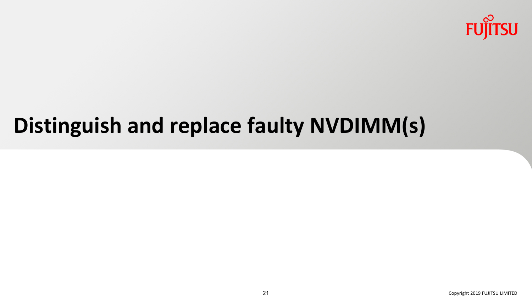

# **Distinguish and replace faulty NVDIMM(s)**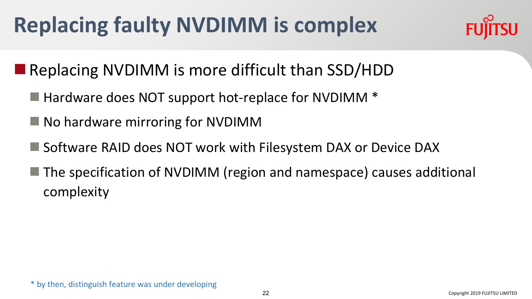# **Replacing faulty NVDIMM is complex**



#### Replacing NVDIMM is more difficult than  $SSD/HDD$

- $\blacksquare$  Hardware does NOT support hot-replace for NVDIMM  $\ast$
- $\blacksquare$  No hardware mirroring for NVDIMM
- Software RAID does NOT work with Filesystem DAX or Device DAX
- The specification of NVDIMM (region and namespace) causes additional complexity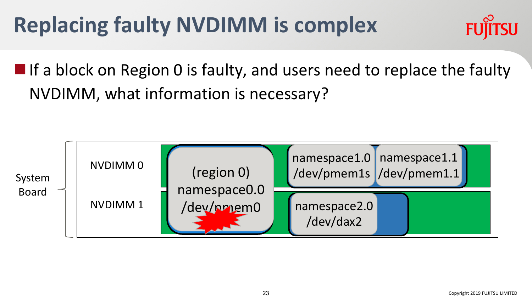# **Replacing faulty NVDIMM is complex**



 $\blacksquare$  If a block on Region 0 is faulty, and users need to replace the faulty NVDIMM, what information is necessary?

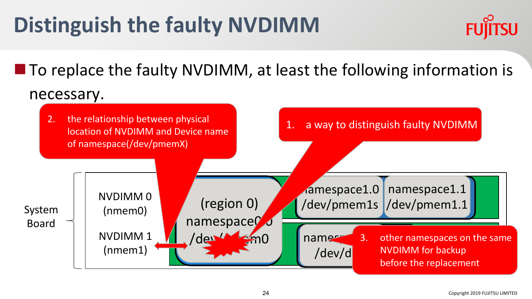# **Distinguish the faulty NVDIMM**



 $\blacksquare$  To replace the faulty NVDIMM, at least the following information is necessary.

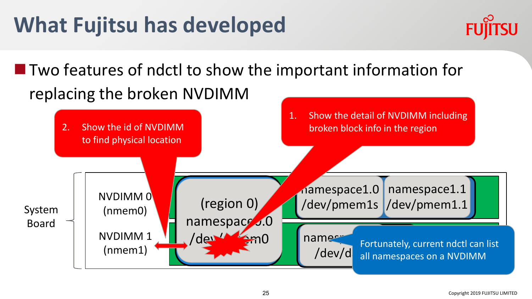# **What Fujitsu has developed**



#### $\blacksquare$  Two features of ndctl to show the important information for replacing the broken NVDIMM

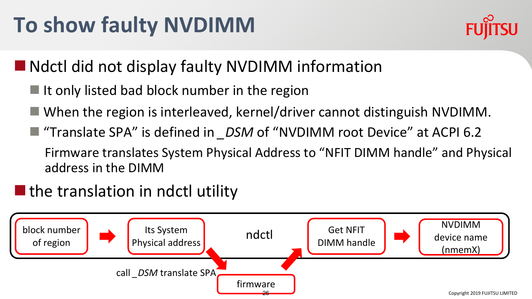# **To show faulty NVDIMM**



 $\blacksquare$  Ndctl did not display faulty NVDIMM information

- $\blacksquare$  It only listed bad block number in the region
- $\blacksquare$  When the region is interleaved, kernel/driver cannot distinguish NVDIMM.
- "Translate SPA" is defined in *\_DSM* of "NVDIMM root Device" at ACPI 6.2 Firmware translates System Physical Address to "NFIT DIMM handle" and Physical address in the DIMM

#### $\blacksquare$  the translation in ndctl utility

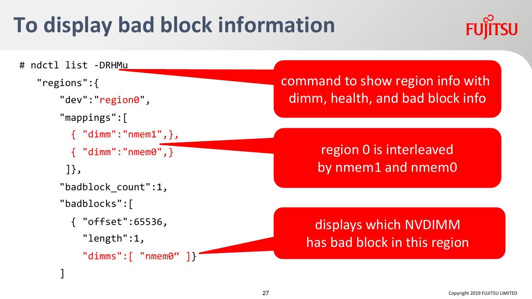# **To display bad block information**



```
# ndctl list -DRHMu
  "regions":{
      "dev":"region0",
      "mappings":[
        { "dimm":"nmem1",},
         { "dimm":"nmem0",}
       ]},
      "badblock_count":1,
      "badblocks":[
        { "offset":65536,
          "length":1,
          "dimms" : [ "nmem0" ]\}]
                                                   region 0 is interleaved
                                                   by nmem1 and nmem0
                                                  displays which NVDIMM 
                                                 has bad block in this region 
                                            command to show region info with 
                                              dimm, health, and bad block info
```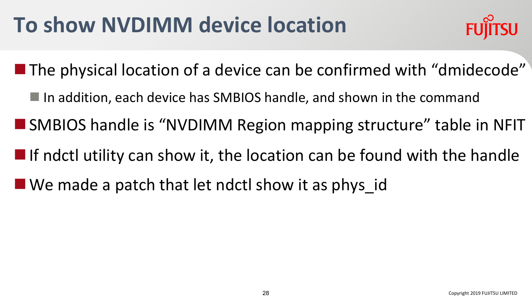# **To show NVDIMM device location**



- $\blacksquare$  The physical location of a device can be confirmed with "dmidecode"
	- $\blacksquare$  In addition, each device has SMBIOS handle, and shown in the command
- SMBIOS handle is "NVDIMM Region mapping structure" table in NFIT
- $\blacksquare$  If ndctl utility can show it, the location can be found with the handle
- $\blacksquare$  We made a patch that let ndctl show it as phys id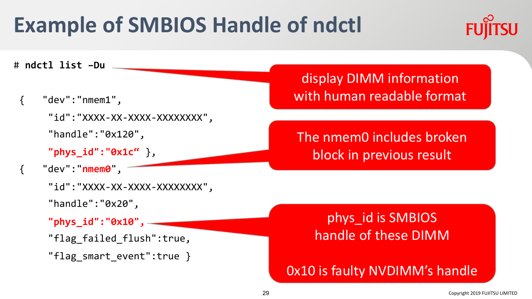# **Example of SMBIOS Handle of ndctl**



# **ndctl list –Du**

- { "dev":"nmem1",
	- "id":"XXXX-XX-XXXX-XXXXXXXX",
	- "handle":"0x120",
	- **"phys\_id":"0x1c"** },
- { "dev":"**nmem0**",
	- "id":"XXXX-XX-XXXX-XXXXXXXX",
	- "handle":"0x20",
	- **"phys\_id":"0x10",**
	- "flag failed flush":true,
	- "flag\_smart\_event":true }

display DIMM information with human readable format

The nmem0 includes broken block in previous result

#### phys\_id is SMBIOS handle of these DIMM

0x10 is faulty NVDIMM's handle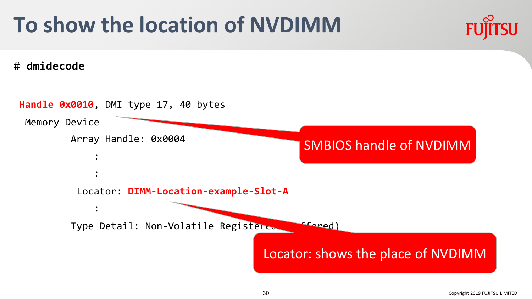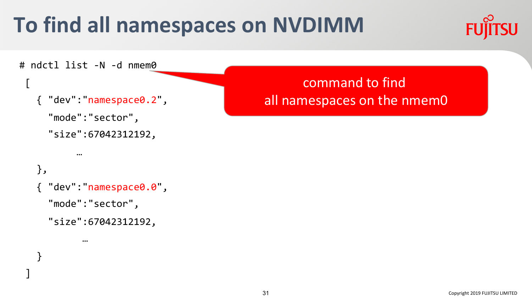# **To find all namespaces on NVDIMM**

}

]



```
# ndctl list -N -d nmem0 
\Gamma{ "dev":"namespace0.2",
    "mode":"sector",
    "size":67042312192,
         …
  },
  { "dev":"namespace0.0",
    "mode":"sector",
    "size":67042312192,
          …
                                                  command to find 
                                           all namespaces on the nmem0
```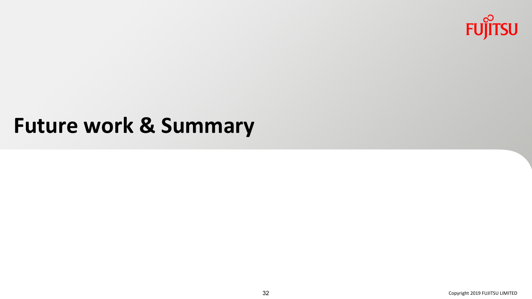

#### **Future work & Summary**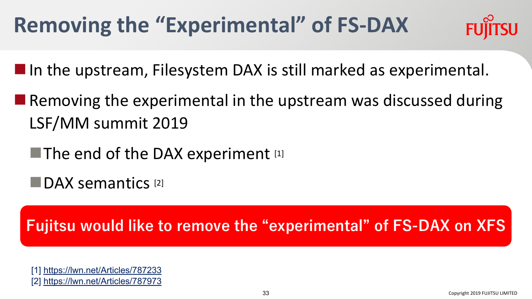# **Removing the "Experimental" of FS-DAX**



 $\blacksquare$  In the upstream, Filesystem DAX is still marked as experimental.

 $\blacksquare$  Removing the experimental in the upstream was discussed during LSF/MM summit 2019

The end of the DAX experiment  $[1]$ 

**nDAX** semantics [2]

**Fujitsu would like to remove the "experimental" of FS-DAX on XFS**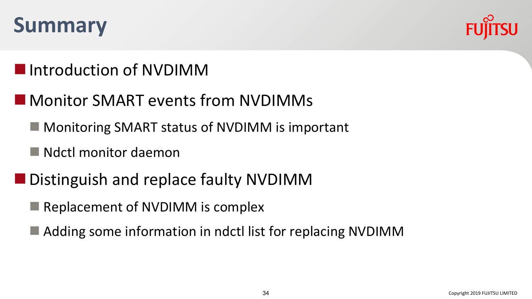



#### **Number** Introduction of NVDIMM

#### **N**Monitor SMART events from NVDIMMs

- $\blacksquare$  Monitoring SMART status of NVDIMM is important
- $\blacksquare$  Ndctl monitor daemon
- Distinguish and replace faulty NVDIMM
	- $\blacksquare$  Replacement of NVDIMM is complex
	- $\blacksquare$  Adding some information in ndctl list for replacing NVDIMM